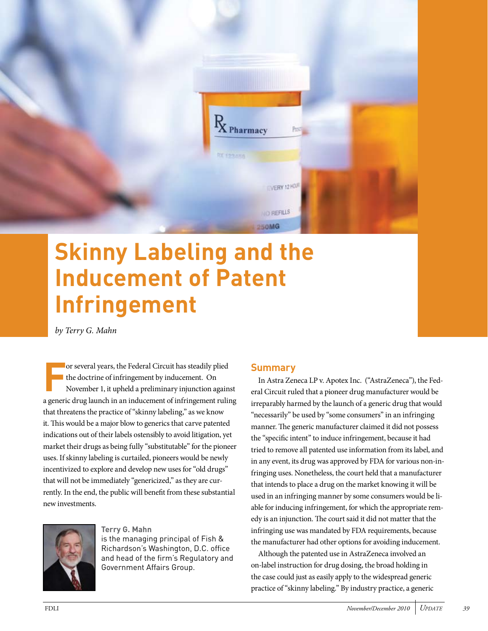

# **Skinny Labeling and the Inducement of Patent Infringement**

*by Terry G. Mahn*

**F** or several years, the Federal Circuit has steadily plied the doctrine of infringement by inducement. On November 1, it upheld a preliminary injunction against a generic drug launch in an inducement of infringement ruling that threatens the practice of "skinny labeling," as we know it. This would be a major blow to generics that carve patented indications out of their labels ostensibly to avoid litigation, yet market their drugs as being fully "substitutable" for the pioneer uses. If skinny labeling is curtailed, pioneers would be newly incentivized to explore and develop new uses for "old drugs" that will not be immediately "genericized," as they are currently. In the end, the public will benefit from these substantial new investments.



#### **Terry G. Mahn**

is the managing principal of Fish & Richardson's Washington, D.C. office and head of the firm's Regulatory and Government Affairs Group.

### **Summary**

In Astra Zeneca LP v. Apotex Inc. ("AstraZeneca"), the Federal Circuit ruled that a pioneer drug manufacturer would be irreparably harmed by the launch of a generic drug that would "necessarily" be used by "some consumers" in an infringing manner. The generic manufacturer claimed it did not possess the "specific intent" to induce infringement, because it had tried to remove all patented use information from its label, and in any event, its drug was approved by FDA for various non-infringing uses. Nonetheless, the court held that a manufacturer that intends to place a drug on the market knowing it will be used in an infringing manner by some consumers would be liable for inducing infringement, for which the appropriate remedy is an injunction. The court said it did not matter that the infringing use was mandated by FDA requirements, because the manufacturer had other options for avoiding inducement.

Although the patented use in AstraZeneca involved an on-label instruction for drug dosing, the broad holding in the case could just as easily apply to the widespread generic practice of "skinny labeling." By industry practice, a generic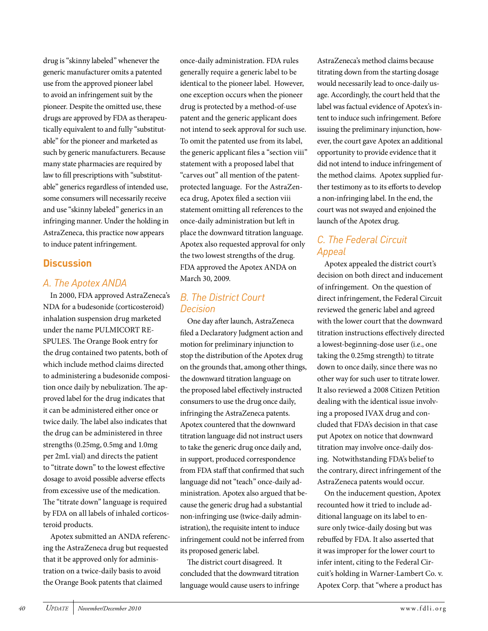drug is "skinny labeled" whenever the generic manufacturer omits a patented use from the approved pioneer label to avoid an infringement suit by the pioneer. Despite the omitted use, these drugs are approved by FDA as therapeutically equivalent to and fully "substitutable" for the pioneer and marketed as such by generic manufacturers. Because many state pharmacies are required by law to fill prescriptions with "substitutable" generics regardless of intended use, some consumers will necessarily receive and use "skinny labeled" generics in an infringing manner. Under the holding in AstraZeneca, this practice now appears to induce patent infringement.

## **Discussion**

## *A. The Apotex ANDA*

In 2000, FDA approved AstraZeneca's NDA for a budesonide (corticosteroid) inhalation suspension drug marketed under the name PULMICORT RE-SPULES. The Orange Book entry for the drug contained two patents, both of which include method claims directed to administering a budesonide composition once daily by nebulization. The approved label for the drug indicates that it can be administered either once or twice daily. The label also indicates that the drug can be administered in three strengths (0.25mg, 0.5mg and 1.0mg per 2mL vial) and directs the patient to "titrate down" to the lowest effective dosage to avoid possible adverse effects from excessive use of the medication. The "titrate down" language is required by FDA on all labels of inhaled corticosteroid products.

Apotex submitted an ANDA referencing the AstraZeneca drug but requested that it be approved only for administration on a twice-daily basis to avoid the Orange Book patents that claimed

once-daily administration. FDA rules generally require a generic label to be identical to the pioneer label. However, one exception occurs when the pioneer drug is protected by a method-of-use patent and the generic applicant does not intend to seek approval for such use. To omit the patented use from its label, the generic applicant files a "section viii" statement with a proposed label that "carves out" all mention of the patentprotected language. For the AstraZeneca drug, Apotex filed a section viii statement omitting all references to the once-daily administration but left in place the downward titration language. Apotex also requested approval for only the two lowest strengths of the drug. FDA approved the Apotex ANDA on March 30, 2009.

## *B. The District Court Decision*

One day after launch, AstraZeneca filed a Declaratory Judgment action and motion for preliminary injunction to stop the distribution of the Apotex drug on the grounds that, among other things, the downward titration language on the proposed label effectively instructed consumers to use the drug once daily, infringing the AstraZeneca patents. Apotex countered that the downward titration language did not instruct users to take the generic drug once daily and, in support, produced correspondence from FDA staff that confirmed that such language did not "teach" once-daily administration. Apotex also argued that because the generic drug had a substantial non-infringing use (twice-daily administration), the requisite intent to induce infringement could not be inferred from its proposed generic label.

The district court disagreed. It concluded that the downward titration language would cause users to infringe AstraZeneca's method claims because titrating down from the starting dosage would necessarily lead to once-daily usage. Accordingly, the court held that the label was factual evidence of Apotex's intent to induce such infringement. Before issuing the preliminary injunction, however, the court gave Apotex an additional opportunity to provide evidence that it did not intend to induce infringement of the method claims. Apotex supplied further testimony as to its efforts to develop a non-infringing label. In the end, the court was not swayed and enjoined the launch of the Apotex drug.

# *C. The Federal Circuit Appeal*

Apotex appealed the district court's decision on both direct and inducement of infringement. On the question of direct infringement, the Federal Circuit reviewed the generic label and agreed with the lower court that the downward titration instructions effectively directed a lowest-beginning-dose user (i.e., one taking the 0.25mg strength) to titrate down to once daily, since there was no other way for such user to titrate lower. It also reviewed a 2008 Citizen Petition dealing with the identical issue involving a proposed IVAX drug and concluded that FDA's decision in that case put Apotex on notice that downward titration may involve once-daily dosing. Notwithstanding FDA's belief to the contrary, direct infringement of the AstraZeneca patents would occur.

On the inducement question, Apotex recounted how it tried to include additional language on its label to ensure only twice-daily dosing but was rebuffed by FDA. It also asserted that it was improper for the lower court to infer intent, citing to the Federal Circuit's holding in Warner-Lambert Co. v. Apotex Corp. that "where a product has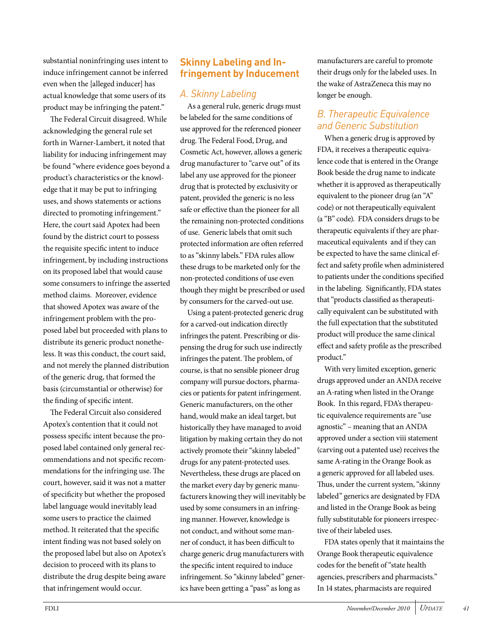substantial noninfringing uses intent to induce infringement cannot be inferred even when the [alleged inducer] has actual knowledge that some users of its product may be infringing the patent."

The Federal Circuit disagreed. While acknowledging the general rule set forth in Warner-Lambert, it noted that liability for inducing infringement may be found "where evidence goes beyond a product's characteristics or the knowledge that it may be put to infringing uses, and shows statements or actions directed to promoting infringement." Here, the court said Apotex had been found by the district court to possess the requisite specific intent to induce infringement, by including instructions on its proposed label that would cause some consumers to infringe the asserted method claims. Moreover, evidence that showed Apotex was aware of the infringement problem with the proposed label but proceeded with plans to distribute its generic product nonetheless. It was this conduct, the court said, and not merely the planned distribution of the generic drug, that formed the basis (circumstantial or otherwise) for the finding of specific intent.

The Federal Circuit also considered Apotex's contention that it could not possess specific intent because the proposed label contained only general recommendations and not specific recommendations for the infringing use. The court, however, said it was not a matter of specificity but whether the proposed label language would inevitably lead some users to practice the claimed method. It reiterated that the specific intent finding was not based solely on the proposed label but also on Apotex's decision to proceed with its plans to distribute the drug despite being aware that infringement would occur.

## *A. Skinny Labeling*

As a general rule, generic drugs must be labeled for the same conditions of use approved for the referenced pioneer drug. The Federal Food, Drug, and Cosmetic Act, however, allows a generic drug manufacturer to "carve out" of its label any use approved for the pioneer drug that is protected by exclusivity or patent, provided the generic is no less safe or effective than the pioneer for all the remaining non-protected conditions of use. Generic labels that omit such protected information are often referred to as "skinny labels." FDA rules allow these drugs to be marketed only for the non-protected conditions of use even though they might be prescribed or used by consumers for the carved-out use.

Using a patent-protected generic drug for a carved-out indication directly infringes the patent. Prescribing or dispensing the drug for such use indirectly infringes the patent. The problem, of course, is that no sensible pioneer drug company will pursue doctors, pharmacies or patients for patent infringement. Generic manufacturers, on the other hand, would make an ideal target, but historically they have managed to avoid litigation by making certain they do not actively promote their "skinny labeled" drugs for any patent-protected uses. Nevertheless, these drugs are placed on the market every day by generic manufacturers knowing they will inevitably be used by some consumers in an infringing manner. However, knowledge is not conduct, and without some manner of conduct, it has been difficult to charge generic drug manufacturers with the specific intent required to induce infringement. So "skinny labeled" generics have been getting a "pass" as long as

manufacturers are careful to promote their drugs only for the labeled uses. In the wake of AstraZeneca this may no longer be enough.

## *B. Therapeutic Equivalence and Generic Substitution*

When a generic drug is approved by FDA, it receives a therapeutic equivalence code that is entered in the Orange Book beside the drug name to indicate whether it is approved as therapeutically equivalent to the pioneer drug (an "A" code) or not therapeutically equivalent (a "B" code). FDA considers drugs to be therapeutic equivalents if they are pharmaceutical equivalents and if they can be expected to have the same clinical effect and safety profile when administered to patients under the conditions specified in the labeling. Significantly, FDA states that "products classified as therapeutically equivalent can be substituted with the full expectation that the substituted product will produce the same clinical effect and safety profile as the prescribed product."

With very limited exception, generic drugs approved under an ANDA receive an A-rating when listed in the Orange Book. In this regard, FDA's therapeutic equivalence requirements are "use agnostic" – meaning that an ANDA approved under a section viii statement (carving out a patented use) receives the same A-rating in the Orange Book as a generic approved for all labeled uses. Thus, under the current system, "skinny labeled" generics are designated by FDA and listed in the Orange Book as being fully substitutable for pioneers irrespective of their labeled uses.

FDA states openly that it maintains the Orange Book therapeutic equivalence codes for the benefit of "state health agencies, prescribers and pharmacists." In 14 states, pharmacists are required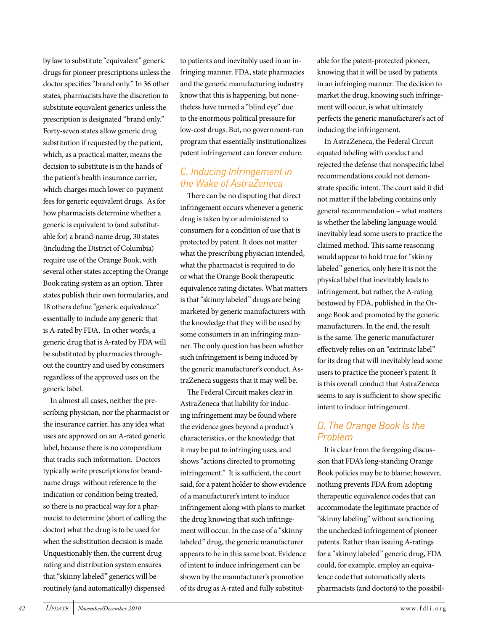by law to substitute "equivalent" generic drugs for pioneer prescriptions unless the doctor specifies "brand only." In 36 other states, pharmacists have the discretion to substitute equivalent generics unless the prescription is designated "brand only." Forty-seven states allow generic drug substitution if requested by the patient, which, as a practical matter, means the decision to substitute is in the hands of the patient's health insurance carrier, which charges much lower co-payment fees for generic equivalent drugs. As for how pharmacists determine whether a generic is equivalent to (and substitutable for) a brand-name drug, 30 states (including the District of Columbia) require use of the Orange Book, with several other states accepting the Orange Book rating system as an option. Three states publish their own formularies, and 18 others define "generic equivalence" essentially to include any generic that is A-rated by FDA. In other words, a generic drug that is A-rated by FDA will be substituted by pharmacies throughout the country and used by consumers regardless of the approved uses on the generic label.

In almost all cases, neither the prescribing physician, nor the pharmacist or the insurance carrier, has any idea what uses are approved on an A-rated generic label, because there is no compendium that tracks such information. Doctors typically write prescriptions for brandname drugs without reference to the indication or condition being treated, so there is no practical way for a pharmacist to determine (short of calling the doctor) what the drug is to be used for when the substitution decision is made. Unquestionably then, the current drug rating and distribution system ensures that "skinny labeled" generics will be routinely (and automatically) dispensed

to patients and inevitably used in an infringing manner. FDA, state pharmacies and the generic manufacturing industry know that this is happening, but nonetheless have turned a "blind eye" due to the enormous political pressure for low-cost drugs. But, no government-run program that essentially institutionalizes patent infringement can forever endure.

## *C. Inducing Infringement in the Wake of AstraZeneca*

There can be no disputing that direct infringement occurs whenever a generic drug is taken by or administered to consumers for a condition of use that is protected by patent. It does not matter what the prescribing physician intended, what the pharmacist is required to do or what the Orange Book therapeutic equivalence rating dictates. What matters is that "skinny labeled" drugs are being marketed by generic manufacturers with the knowledge that they will be used by some consumers in an infringing manner. The only question has been whether such infringement is being induced by the generic manufacturer's conduct. AstraZeneca suggests that it may well be.

The Federal Circuit makes clear in AstraZeneca that liability for inducing infringement may be found where the evidence goes beyond a product's characteristics, or the knowledge that it may be put to infringing uses, and shows "actions directed to promoting infringement." It is sufficient, the court said, for a patent holder to show evidence of a manufacturer's intent to induce infringement along with plans to market the drug knowing that such infringement will occur. In the case of a "skinny labeled" drug, the generic manufacturer appears to be in this same boat. Evidence of intent to induce infringement can be shown by the manufacturer's promotion of its drug as A-rated and fully substitutable for the patent-protected pioneer, knowing that it will be used by patients in an infringing manner. The decision to market the drug, knowing such infringement will occur, is what ultimately perfects the generic manufacturer's act of inducing the infringement.

In AstraZeneca, the Federal Circuit equated labeling with conduct and rejected the defense that nonspecific label recommendations could not demonstrate specific intent. The court said it did not matter if the labeling contains only general recommendation – what matters is whether the labeling language would inevitably lead some users to practice the claimed method. This same reasoning would appear to hold true for "skinny labeled" generics, only here it is not the physical label that inevitably leads to infringement, but rather, the A-rating bestowed by FDA, published in the Orange Book and promoted by the generic manufacturers. In the end, the result is the same. The generic manufacturer effectively relies on an "extrinsic label" for its drug that will inevitably lead some users to practice the pioneer's patent. It is this overall conduct that AstraZeneca seems to say is sufficient to show specific intent to induce infringement.

## *D. The Orange Book Is the Problem*

It is clear from the foregoing discussion that FDA's long-standing Orange Book policies may be to blame; however, nothing prevents FDA from adopting therapeutic equivalence codes that can accommodate the legitimate practice of "skinny labeling" without sanctioning the unchecked infringement of pioneer patents. Rather than issuing A-ratings for a "skinny labeled" generic drug, FDA could, for example, employ an equivalence code that automatically alerts pharmacists (and doctors) to the possibil-